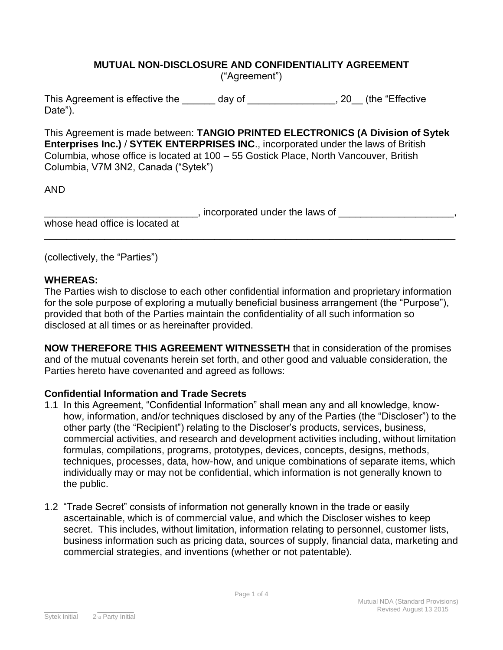#### **MUTUAL NON-DISCLOSURE AND CONFIDENTIALITY AGREEMENT** ("Agreement")

This Agreement is effective the day of the set of the "Effective" Date").

This Agreement is made between: **TANGIO PRINTED ELECTRONICS (A Division of Sytek Enterprises Inc.)** / **SYTEK ENTERPRISES INC**., incorporated under the laws of British Columbia, whose office is located at 100 – 55 Gostick Place, North Vancouver, British Columbia, V7M 3N2, Canada ("Sytek")

AND

|                                 | , incorporated under the laws of |  |
|---------------------------------|----------------------------------|--|
| whose head office is located at |                                  |  |

\_\_\_\_\_\_\_\_\_\_\_\_\_\_\_\_\_\_\_\_\_\_\_\_\_\_\_\_\_\_\_\_\_\_\_\_\_\_\_\_\_\_\_\_\_\_\_\_\_\_\_\_\_\_\_\_\_\_\_\_\_\_\_\_\_\_\_\_\_\_\_\_\_\_\_

(collectively, the "Parties")

# **WHEREAS:**

The Parties wish to disclose to each other confidential information and proprietary information for the sole purpose of exploring a mutually beneficial business arrangement (the "Purpose"), provided that both of the Parties maintain the confidentiality of all such information so disclosed at all times or as hereinafter provided.

**NOW THEREFORE THIS AGREEMENT WITNESSETH** that in consideration of the promises and of the mutual covenants herein set forth, and other good and valuable consideration, the Parties hereto have covenanted and agreed as follows:

# **Confidential Information and Trade Secrets**

- 1.1 In this Agreement, "Confidential Information" shall mean any and all knowledge, knowhow, information, and/or techniques disclosed by any of the Parties (the "Discloser") to the other party (the "Recipient") relating to the Discloser's products, services, business, commercial activities, and research and development activities including, without limitation formulas, compilations, programs, prototypes, devices, concepts, designs, methods, techniques, processes, data, how-how, and unique combinations of separate items, which individually may or may not be confidential, which information is not generally known to the public.
- 1.2 "Trade Secret" consists of information not generally known in the trade or easily ascertainable, which is of commercial value, and which the Discloser wishes to keep secret. This includes, without limitation, information relating to personnel, customer lists, business information such as pricing data, sources of supply, financial data, marketing and commercial strategies, and inventions (whether or not patentable).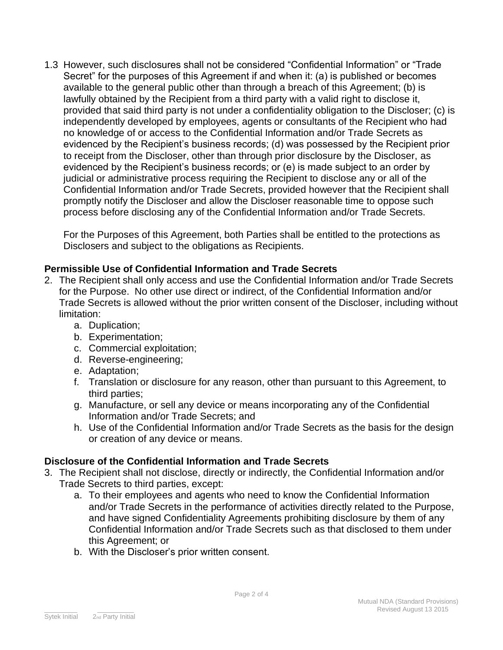1.3 However, such disclosures shall not be considered "Confidential Information" or "Trade Secret" for the purposes of this Agreement if and when it: (a) is published or becomes available to the general public other than through a breach of this Agreement; (b) is lawfully obtained by the Recipient from a third party with a valid right to disclose it, provided that said third party is not under a confidentiality obligation to the Discloser; (c) is independently developed by employees, agents or consultants of the Recipient who had no knowledge of or access to the Confidential Information and/or Trade Secrets as evidenced by the Recipient's business records; (d) was possessed by the Recipient prior to receipt from the Discloser, other than through prior disclosure by the Discloser, as evidenced by the Recipient's business records; or (e) is made subject to an order by judicial or administrative process requiring the Recipient to disclose any or all of the Confidential Information and/or Trade Secrets, provided however that the Recipient shall promptly notify the Discloser and allow the Discloser reasonable time to oppose such process before disclosing any of the Confidential Information and/or Trade Secrets.

For the Purposes of this Agreement, both Parties shall be entitled to the protections as Disclosers and subject to the obligations as Recipients.

## **Permissible Use of Confidential Information and Trade Secrets**

- 2. The Recipient shall only access and use the Confidential Information and/or Trade Secrets for the Purpose. No other use direct or indirect, of the Confidential Information and/or Trade Secrets is allowed without the prior written consent of the Discloser, including without limitation:
	- a. Duplication;
	- b. Experimentation;
	- c. Commercial exploitation;
	- d. Reverse-engineering;
	- e. Adaptation;
	- f. Translation or disclosure for any reason, other than pursuant to this Agreement, to third parties;
	- g. Manufacture, or sell any device or means incorporating any of the Confidential Information and/or Trade Secrets; and
	- h. Use of the Confidential Information and/or Trade Secrets as the basis for the design or creation of any device or means.

# **Disclosure of the Confidential Information and Trade Secrets**

- 3. The Recipient shall not disclose, directly or indirectly, the Confidential Information and/or Trade Secrets to third parties, except:
	- a. To their employees and agents who need to know the Confidential Information and/or Trade Secrets in the performance of activities directly related to the Purpose, and have signed Confidentiality Agreements prohibiting disclosure by them of any Confidential Information and/or Trade Secrets such as that disclosed to them under this Agreement; or
	- b. With the Discloser's prior written consent.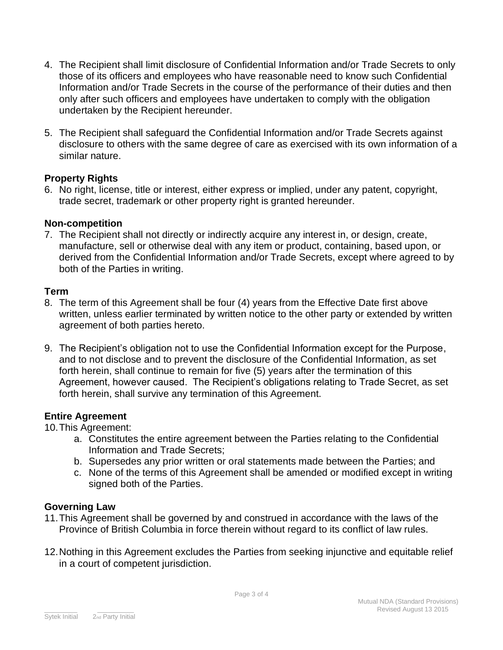- 4. The Recipient shall limit disclosure of Confidential Information and/or Trade Secrets to only those of its officers and employees who have reasonable need to know such Confidential Information and/or Trade Secrets in the course of the performance of their duties and then only after such officers and employees have undertaken to comply with the obligation undertaken by the Recipient hereunder.
- 5. The Recipient shall safeguard the Confidential Information and/or Trade Secrets against disclosure to others with the same degree of care as exercised with its own information of a similar nature.

## **Property Rights**

6. No right, license, title or interest, either express or implied, under any patent, copyright, trade secret, trademark or other property right is granted hereunder.

## **Non-competition**

7. The Recipient shall not directly or indirectly acquire any interest in, or design, create, manufacture, sell or otherwise deal with any item or product, containing, based upon, or derived from the Confidential Information and/or Trade Secrets, except where agreed to by both of the Parties in writing.

# **Term**

- 8. The term of this Agreement shall be four (4) years from the Effective Date first above written, unless earlier terminated by written notice to the other party or extended by written agreement of both parties hereto.
- 9. The Recipient's obligation not to use the Confidential Information except for the Purpose, and to not disclose and to prevent the disclosure of the Confidential Information, as set forth herein, shall continue to remain for five (5) years after the termination of this Agreement, however caused. The Recipient's obligations relating to Trade Secret, as set forth herein, shall survive any termination of this Agreement.

# **Entire Agreement**

10.This Agreement:

- a. Constitutes the entire agreement between the Parties relating to the Confidential Information and Trade Secrets;
- b. Supersedes any prior written or oral statements made between the Parties; and
- c. None of the terms of this Agreement shall be amended or modified except in writing signed both of the Parties.

#### **Governing Law**

- 11.This Agreement shall be governed by and construed in accordance with the laws of the Province of British Columbia in force therein without regard to its conflict of law rules.
- 12.Nothing in this Agreement excludes the Parties from seeking injunctive and equitable relief in a court of competent jurisdiction.